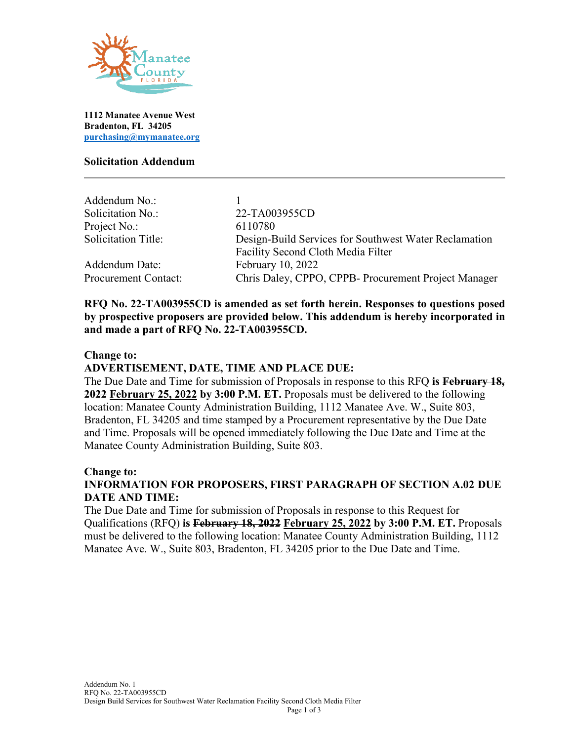

**1112 Manatee Avenue West Bradenton, FL 34205 [purchasing@mymanatee.org](mailto:purchasing@mymanatee.org)**

### **Solicitation Addendum**

| Addendum No.:               |                                                       |
|-----------------------------|-------------------------------------------------------|
| Solicitation No.:           | 22-TA003955CD                                         |
| Project No.:                | 6110780                                               |
| <b>Solicitation Title:</b>  | Design-Build Services for Southwest Water Reclamation |
|                             | Facility Second Cloth Media Filter                    |
| Addendum Date:              | February 10, 2022                                     |
| <b>Procurement Contact:</b> | Chris Daley, CPPO, CPPB- Procurement Project Manager  |

**RFQ No. 22-TA003955CD is amended as set forth herein. Responses to questions posed by prospective proposers are provided below. This addendum is hereby incorporated in and made a part of RFQ No. 22-TA003955CD.** 

#### **Change to:**

#### **ADVERTISEMENT, DATE, TIME AND PLACE DUE:**

The Due Date and Time for submission of Proposals in response to this RFQ **is February 18, 2022 February 25, 2022 by 3:00 P.M. ET.** Proposals must be delivered to the following location: Manatee County Administration Building, 1112 Manatee Ave. W., Suite 803, Bradenton, FL 34205 and time stamped by a Procurement representative by the Due Date and Time. Proposals will be opened immediately following the Due Date and Time at the Manatee County Administration Building, Suite 803.

#### **Change to:**

## **INFORMATION FOR PROPOSERS, FIRST PARAGRAPH OF SECTION A.02 DUE DATE AND TIME:**

The Due Date and Time for submission of Proposals in response to this Request for Qualifications (RFQ) **is February 18, 2022 February 25, 2022 by 3:00 P.M. ET.** Proposals must be delivered to the following location: Manatee County Administration Building, 1112 Manatee Ave. W., Suite 803, Bradenton, FL 34205 prior to the Due Date and Time.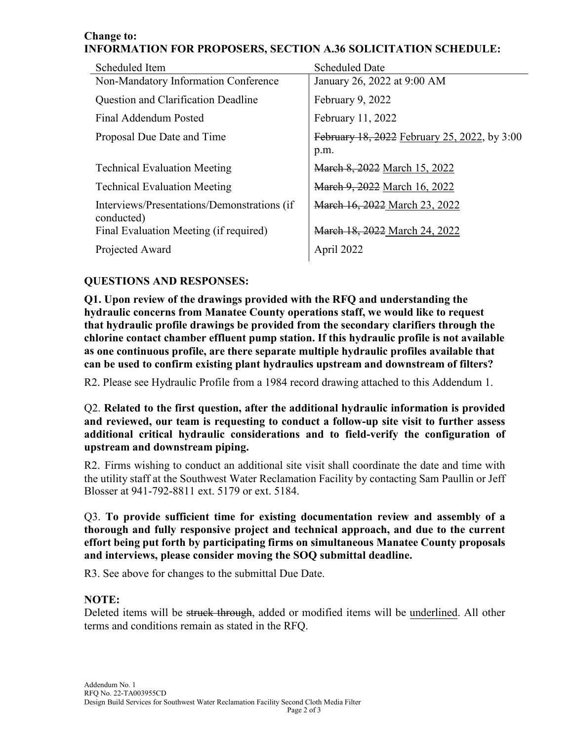#### **Change to: INFORMATION FOR PROPOSERS, SECTION A.36 SOLICITATION SCHEDULE:**

| Scheduled Item                                            | <b>Scheduled Date</b>                                |
|-----------------------------------------------------------|------------------------------------------------------|
| Non-Mandatory Information Conference                      | January 26, 2022 at 9:00 AM                          |
| Question and Clarification Deadline                       | February 9, 2022                                     |
| Final Addendum Posted                                     | February 11, 2022                                    |
| Proposal Due Date and Time                                | February 18, 2022 February 25, 2022, by 3:00<br>p.m. |
| <b>Technical Evaluation Meeting</b>                       | March 8, 2022 March 15, 2022                         |
| <b>Technical Evaluation Meeting</b>                       | March 9, 2022 March 16, 2022                         |
| Interviews/Presentations/Demonstrations (if<br>conducted) | March 16, 2022 March 23, 2022                        |
| Final Evaluation Meeting (if required)                    | March 18, 2022 March 24, 2022                        |
| Projected Award                                           | April 2022                                           |

# **QUESTIONS AND RESPONSES:**

**Q1. Upon review of the drawings provided with the RFQ and understanding the hydraulic concerns from Manatee County operations staff, we would like to request that hydraulic profile drawings be provided from the secondary clarifiers through the chlorine contact chamber effluent pump station. If this hydraulic profile is not available as one continuous profile, are there separate multiple hydraulic profiles available that can be used to confirm existing plant hydraulics upstream and downstream of filters?**

R2. Please see Hydraulic Profile from a 1984 record drawing attached to this Addendum 1.

Q2. **Related to the first question, after the additional hydraulic information is provided and reviewed, our team is requesting to conduct a follow-up site visit to further assess additional critical hydraulic considerations and to field-verify the configuration of upstream and downstream piping.**

R2. Firms wishing to conduct an additional site visit shall coordinate the date and time with the utility staff at the Southwest Water Reclamation Facility by contacting Sam Paullin or Jeff Blosser at 941-792-8811 ext. 5179 or ext. 5184.

Q3. **To provide sufficient time for existing documentation review and assembly of a thorough and fully responsive project and technical approach, and due to the current effort being put forth by participating firms on simultaneous Manatee County proposals and interviews, please consider moving the SOQ submittal deadline.**

R3. See above for changes to the submittal Due Date.

## **NOTE:**

Deleted items will be struck through, added or modified items will be underlined. All other terms and conditions remain as stated in the RFQ.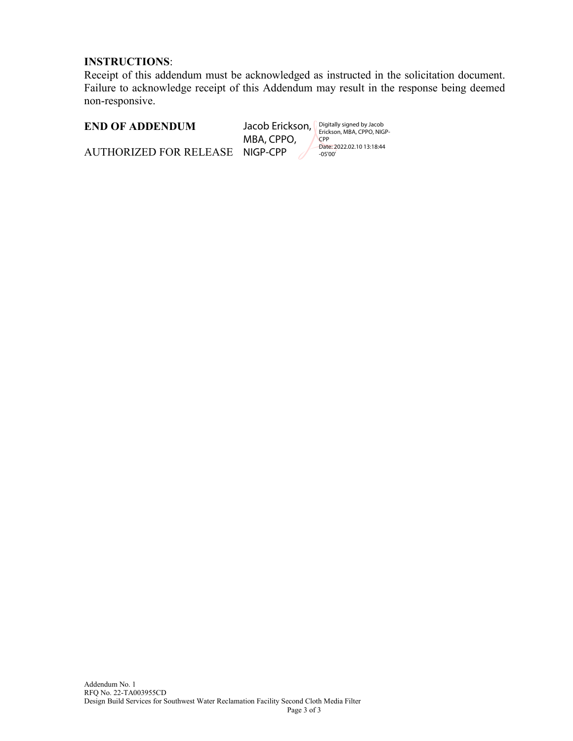### **INSTRUCTIONS**:

Receipt of this addendum must be acknowledged as instructed in the solicitation document. Failure to acknowledge receipt of this Addendum may result in the response being deemed non-responsive.

### **END OF ADDENDUM**

Jacob Erickson, MBA, CPPO, NIGP-CPP

Digitally signed by Jacob Erickson, MBA, CPPO, NIGP-CPP Date: 2022.02.10 13:18:44 -05'00'

AUTHORIZED FOR RELEASE